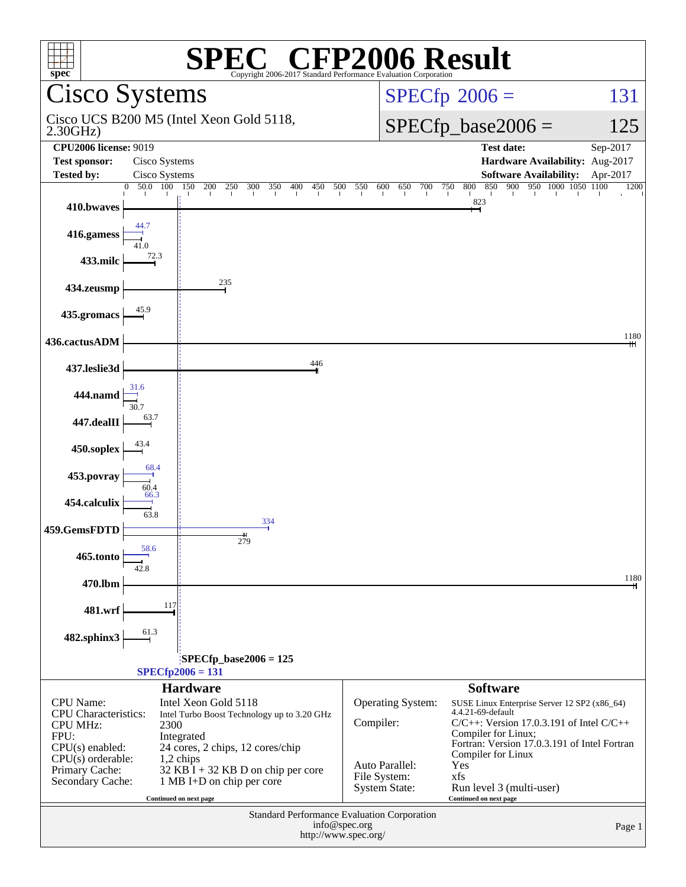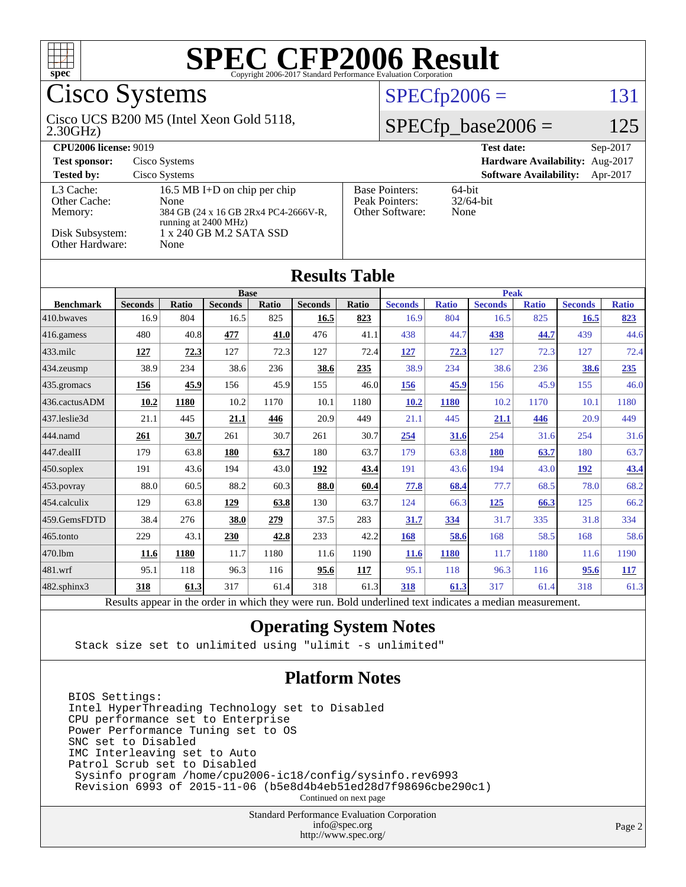

## Cisco Systems

#### 2.30GHz) Cisco UCS B200 M5 (Intel Xeon Gold 5118,

 $SPECfp2006 = 131$  $SPECfp2006 = 131$ 

#### $SPECfp\_base2006 = 125$

| <b>CPU2006 license: 9019</b>         |                                                                                                      | <b>Test date:</b><br>$Sep-2017$                            |                                           |
|--------------------------------------|------------------------------------------------------------------------------------------------------|------------------------------------------------------------|-------------------------------------------|
| <b>Test sponsor:</b>                 | Cisco Systems                                                                                        |                                                            | Hardware Availability: Aug-2017           |
| <b>Tested by:</b>                    | Cisco Systems                                                                                        |                                                            | <b>Software Availability:</b><br>Apr-2017 |
| L3 Cache:<br>Other Cache:<br>Memory: | 16.5 MB I+D on chip per chip<br>None<br>384 GB (24 x 16 GB 2Rx4 PC4-2666V-R,<br>running at 2400 MHz) | <b>Base Pointers:</b><br>Peak Pointers:<br>Other Software: | $64$ -bit<br>$32/64$ -bit<br>None         |
| Disk Subsystem:<br>Other Hardware:   | 1 x 240 GB M.2 SATA SSD<br>None                                                                      |                                                            |                                           |

**[Results Table](http://www.spec.org/auto/cpu2006/Docs/result-fields.html#ResultsTable)**

| Results Tadie                                                                                                                         |                |              |                |       |                |              |                |              |                |              |                |              |
|---------------------------------------------------------------------------------------------------------------------------------------|----------------|--------------|----------------|-------|----------------|--------------|----------------|--------------|----------------|--------------|----------------|--------------|
|                                                                                                                                       | <b>Base</b>    |              |                |       |                |              | <b>Peak</b>    |              |                |              |                |              |
| <b>Benchmark</b>                                                                                                                      | <b>Seconds</b> | <b>Ratio</b> | <b>Seconds</b> | Ratio | <b>Seconds</b> | <b>Ratio</b> | <b>Seconds</b> | <b>Ratio</b> | <b>Seconds</b> | <b>Ratio</b> | <b>Seconds</b> | <b>Ratio</b> |
| 410.bwayes                                                                                                                            | 16.9           | 804          | 16.5           | 825   | 16.5           | 823          | 16.9           | 804          | 16.5           | 825          | 16.5           | 823          |
| 416.gamess                                                                                                                            | 480            | 40.8         | 477            | 41.0  | 476            | 41.1         | 438            | 44.7         | 438            | 44.7         | 439            | 44.6         |
| $433$ .milc                                                                                                                           | 127            | 72.3         | 127            | 72.3  | 127            | 72.4         | 127            | 72.3         | 127            | 72.3         | 127            | 72.4         |
| 434.zeusmp                                                                                                                            | 38.9           | 234          | 38.6           | 236   | 38.6           | 235          | 38.9           | 234          | 38.6           | 236          | 38.6           | 235          |
| 435.gromacs                                                                                                                           | 156            | 45.9         | 156            | 45.9  | 155            | 46.0         | 156            | 45.9         | 156            | 45.9         | 155            | 46.0         |
| 436.cactusADM                                                                                                                         | 10.2           | 1180         | 10.2           | 1170  | 10.1           | 1180         | 10.2           | 1180         | 10.2           | 1170         | 10.1           | 1180         |
| 437.leslie3d                                                                                                                          | 21.1           | 445          | <u>21.1</u>    | 446   | 20.9           | 449          | 21.1           | 445          | 21.1           | 446          | 20.9           | 449          |
| 444.namd                                                                                                                              | 261            | 30.7         | 261            | 30.7  | 261            | 30.7         | 254            | 31.6         | 254            | 31.6         | 254            | 31.6         |
| $ 447 \text{.}$ dealII                                                                                                                | 179            | 63.8         | 180            | 63.7  | 180            | 63.7         | 179            | 63.8         | <b>180</b>     | 63.7         | 180            | 63.7         |
| $ 450$ .soplex                                                                                                                        | 191            | 43.6         | 194            | 43.0  | 192            | 43.4         | 191            | 43.6         | 194            | 43.0         | <u>192</u>     | <u>43.4</u>  |
| 453.povray                                                                                                                            | 88.0           | 60.5         | 88.2           | 60.3  | 88.0           | 60.4         | 77.8           | 68.4         | 77.7           | 68.5         | 78.0           | 68.2         |
| $454$ .calculix                                                                                                                       | 129            | 63.8         | 129            | 63.8  | 130            | 63.7         | 124            | 66.3         | 125            | 66.3         | 125            | 66.2         |
| 459.GemsFDTD                                                                                                                          | 38.4           | 276          | 38.0           | 279   | 37.5           | 283          | <u>31.7</u>    | 334          | 31.7           | 335          | 31.8           | 334          |
| $465$ .tonto                                                                                                                          | 229            | 43.1         | 230            | 42.8  | 233            | 42.2         | 168            | 58.6         | 168            | 58.5         | 168            | 58.6         |
| 470.1bm                                                                                                                               | 11.6           | 1180         | 11.7           | 1180  | 11.6           | 1190         | <b>11.6</b>    | 1180         | 11.7           | 1180         | 11.6           | 1190         |
| $ 481$ .wrf                                                                                                                           | 95.1           | 118          | 96.3           | 116   | 95.6           | 117          | 95.1           | 118          | 96.3           | 116          | 95.6           | <b>117</b>   |
| 482.sphinx3                                                                                                                           | 318            | 61.3         | 317            | 61.4  | 318            | 61.3         | 318            | 61.3         | 317            | 61.4         | 318            | 61.3         |
| Discrete compact to the contents colored theory cream was Dield and dealing discretional contents<br>سيمس ومحاملته والمنافذة والأرادي |                |              |                |       |                |              |                |              |                |              |                |              |

Results appear in the [order in which they were run.](http://www.spec.org/auto/cpu2006/Docs/result-fields.html#RunOrder) Bold underlined text [indicates a median measurement.](http://www.spec.org/auto/cpu2006/Docs/result-fields.html#Median)

#### **[Operating System Notes](http://www.spec.org/auto/cpu2006/Docs/result-fields.html#OperatingSystemNotes)**

Stack size set to unlimited using "ulimit -s unlimited"

#### **[Platform Notes](http://www.spec.org/auto/cpu2006/Docs/result-fields.html#PlatformNotes)**

BIOS Settings: Intel HyperThreading Technology set to Disabled CPU performance set to Enterprise Power Performance Tuning set to OS SNC set to Disabled IMC Interleaving set to Auto Patrol Scrub set to Disabled Sysinfo program /home/cpu2006-ic18/config/sysinfo.rev6993 Revision 6993 of 2015-11-06 (b5e8d4b4eb51ed28d7f98696cbe290c1)

Continued on next page

Standard Performance Evaluation Corporation [info@spec.org](mailto:info@spec.org) <http://www.spec.org/>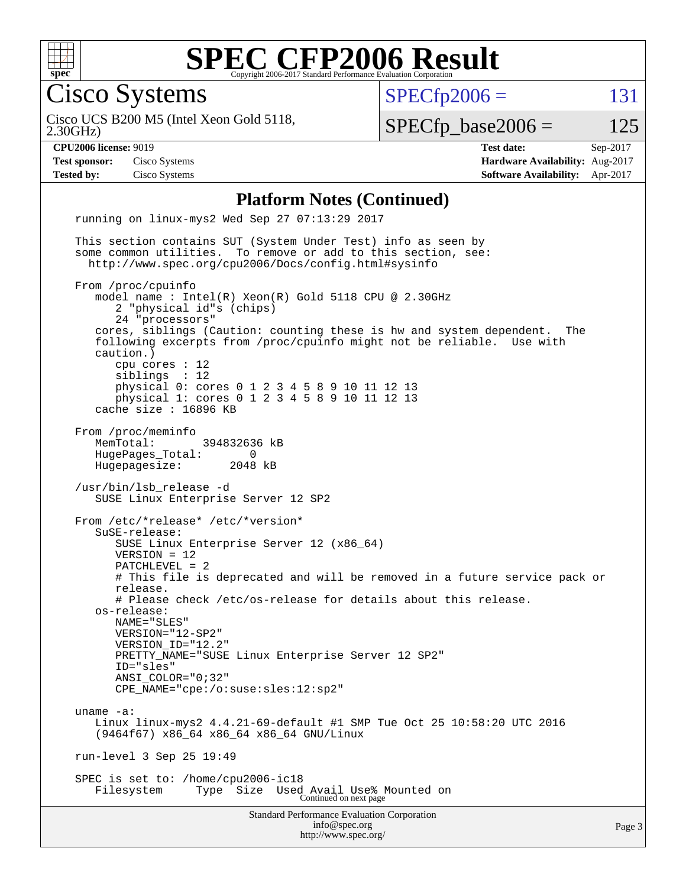

Cisco Systems

 $SPECTp2006 = 131$ 

2.30GHz) Cisco UCS B200 M5 (Intel Xeon Gold 5118,

 $SPECTp\_base2006 = 125$ 

**[CPU2006 license:](http://www.spec.org/auto/cpu2006/Docs/result-fields.html#CPU2006license)** 9019 **[Test date:](http://www.spec.org/auto/cpu2006/Docs/result-fields.html#Testdate)** Sep-2017 **[Test sponsor:](http://www.spec.org/auto/cpu2006/Docs/result-fields.html#Testsponsor)** Cisco Systems **[Hardware Availability:](http://www.spec.org/auto/cpu2006/Docs/result-fields.html#HardwareAvailability)** Aug-2017 **[Tested by:](http://www.spec.org/auto/cpu2006/Docs/result-fields.html#Testedby)** Cisco Systems **[Software Availability:](http://www.spec.org/auto/cpu2006/Docs/result-fields.html#SoftwareAvailability)** Apr-2017

#### **[Platform Notes \(Continued\)](http://www.spec.org/auto/cpu2006/Docs/result-fields.html#PlatformNotes)**

Standard Performance Evaluation Corporation [info@spec.org](mailto:info@spec.org) <http://www.spec.org/> running on linux-mys2 Wed Sep 27 07:13:29 2017 This section contains SUT (System Under Test) info as seen by some common utilities. To remove or add to this section, see: <http://www.spec.org/cpu2006/Docs/config.html#sysinfo> From /proc/cpuinfo model name : Intel(R) Xeon(R) Gold 5118 CPU @ 2.30GHz 2 "physical id"s (chips) 24 "processors" cores, siblings (Caution: counting these is hw and system dependent. The following excerpts from /proc/cpuinfo might not be reliable. Use with caution.) cpu cores : 12 siblings : 12 physical 0: cores 0 1 2 3 4 5 8 9 10 11 12 13 physical 1: cores 0 1 2 3 4 5 8 9 10 11 12 13 cache size : 16896 KB From /proc/meminfo MemTotal: 394832636 kB HugePages\_Total: 0<br>Hugepagesize: 2048 kB Hugepagesize: /usr/bin/lsb\_release -d SUSE Linux Enterprise Server 12 SP2 From /etc/\*release\* /etc/\*version\* SuSE-release: SUSE Linux Enterprise Server 12 (x86\_64) VERSION = 12 PATCHLEVEL = 2 # This file is deprecated and will be removed in a future service pack or release. # Please check /etc/os-release for details about this release. os-release: NAME="SLES" VERSION="12-SP2" VERSION\_ID="12.2" PRETTY NAME="SUSE Linux Enterprise Server 12 SP2" ID="sles" ANSI\_COLOR="0;32" CPE\_NAME="cpe:/o:suse:sles:12:sp2" uname -a: Linux linux-mys2 4.4.21-69-default #1 SMP Tue Oct 25 10:58:20 UTC 2016 (9464f67) x86\_64 x86\_64 x86\_64 GNU/Linux run-level 3 Sep 25 19:49 SPEC is set to: /home/cpu2006-ic18 Filesystem Type Size Used Avail Use% Mounted on Continued on next page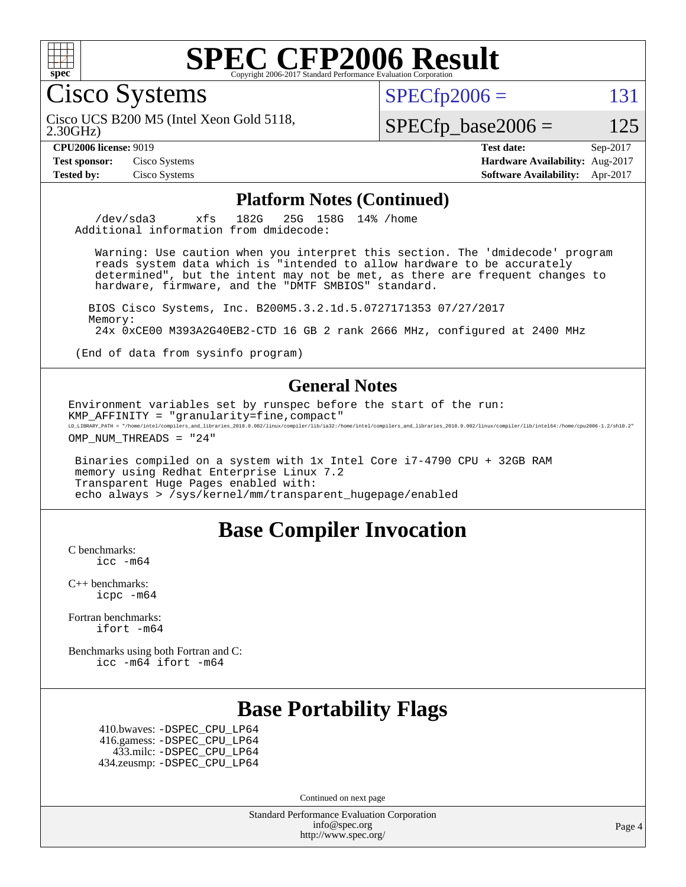

Cisco Systems

 $SPECTp2006 = 131$ 

2.30GHz) Cisco UCS B200 M5 (Intel Xeon Gold 5118,

 $SPECfp\_base2006 = 125$ 

**[Test sponsor:](http://www.spec.org/auto/cpu2006/Docs/result-fields.html#Testsponsor)** Cisco Systems **[Hardware Availability:](http://www.spec.org/auto/cpu2006/Docs/result-fields.html#HardwareAvailability)** Aug-2017

**[CPU2006 license:](http://www.spec.org/auto/cpu2006/Docs/result-fields.html#CPU2006license)** 9019 **[Test date:](http://www.spec.org/auto/cpu2006/Docs/result-fields.html#Testdate)** Sep-2017 **[Tested by:](http://www.spec.org/auto/cpu2006/Docs/result-fields.html#Testedby)** Cisco Systems **[Software Availability:](http://www.spec.org/auto/cpu2006/Docs/result-fields.html#SoftwareAvailability)** Apr-2017

#### **[Platform Notes \(Continued\)](http://www.spec.org/auto/cpu2006/Docs/result-fields.html#PlatformNotes)**

 /dev/sda3 xfs 182G 25G 158G 14% /home Additional information from dmidecode:

 Warning: Use caution when you interpret this section. The 'dmidecode' program reads system data which is "intended to allow hardware to be accurately determined", but the intent may not be met, as there are frequent changes to hardware, firmware, and the "DMTF SMBIOS" standard.

 BIOS Cisco Systems, Inc. B200M5.3.2.1d.5.0727171353 07/27/2017 Memory: 24x 0xCE00 M393A2G40EB2-CTD 16 GB 2 rank 2666 MHz, configured at 2400 MHz

(End of data from sysinfo program)

#### **[General Notes](http://www.spec.org/auto/cpu2006/Docs/result-fields.html#GeneralNotes)**

Environment variables set by runspec before the start of the run: KMP\_AFFINITY = "granularity=fine,compact" LD\_LIBRARY\_PATH = "/home/intel/compilers\_and\_libraries\_2018.0.082/linux/compiler/lib/ia32:/home/intel/compilers\_and\_libraries\_2018.0.082/linux/compiler/lib/intel64:/home/cpu2006-1.2/sh10.2"

OMP\_NUM\_THREADS = "24"

 Binaries compiled on a system with 1x Intel Core i7-4790 CPU + 32GB RAM memory using Redhat Enterprise Linux 7.2 Transparent Huge Pages enabled with: echo always > /sys/kernel/mm/transparent\_hugepage/enabled

### **[Base Compiler Invocation](http://www.spec.org/auto/cpu2006/Docs/result-fields.html#BaseCompilerInvocation)**

[C benchmarks](http://www.spec.org/auto/cpu2006/Docs/result-fields.html#Cbenchmarks): [icc -m64](http://www.spec.org/cpu2006/results/res2017q4/cpu2006-20171003-50273.flags.html#user_CCbase_intel_icc_64bit_bda6cc9af1fdbb0edc3795bac97ada53)

[C++ benchmarks:](http://www.spec.org/auto/cpu2006/Docs/result-fields.html#CXXbenchmarks) [icpc -m64](http://www.spec.org/cpu2006/results/res2017q4/cpu2006-20171003-50273.flags.html#user_CXXbase_intel_icpc_64bit_fc66a5337ce925472a5c54ad6a0de310)

[Fortran benchmarks](http://www.spec.org/auto/cpu2006/Docs/result-fields.html#Fortranbenchmarks): [ifort -m64](http://www.spec.org/cpu2006/results/res2017q4/cpu2006-20171003-50273.flags.html#user_FCbase_intel_ifort_64bit_ee9d0fb25645d0210d97eb0527dcc06e)

[Benchmarks using both Fortran and C](http://www.spec.org/auto/cpu2006/Docs/result-fields.html#BenchmarksusingbothFortranandC): [icc -m64](http://www.spec.org/cpu2006/results/res2017q4/cpu2006-20171003-50273.flags.html#user_CC_FCbase_intel_icc_64bit_bda6cc9af1fdbb0edc3795bac97ada53) [ifort -m64](http://www.spec.org/cpu2006/results/res2017q4/cpu2006-20171003-50273.flags.html#user_CC_FCbase_intel_ifort_64bit_ee9d0fb25645d0210d97eb0527dcc06e)

### **[Base Portability Flags](http://www.spec.org/auto/cpu2006/Docs/result-fields.html#BasePortabilityFlags)**

 410.bwaves: [-DSPEC\\_CPU\\_LP64](http://www.spec.org/cpu2006/results/res2017q4/cpu2006-20171003-50273.flags.html#suite_basePORTABILITY410_bwaves_DSPEC_CPU_LP64) 416.gamess: [-DSPEC\\_CPU\\_LP64](http://www.spec.org/cpu2006/results/res2017q4/cpu2006-20171003-50273.flags.html#suite_basePORTABILITY416_gamess_DSPEC_CPU_LP64) 433.milc: [-DSPEC\\_CPU\\_LP64](http://www.spec.org/cpu2006/results/res2017q4/cpu2006-20171003-50273.flags.html#suite_basePORTABILITY433_milc_DSPEC_CPU_LP64) 434.zeusmp: [-DSPEC\\_CPU\\_LP64](http://www.spec.org/cpu2006/results/res2017q4/cpu2006-20171003-50273.flags.html#suite_basePORTABILITY434_zeusmp_DSPEC_CPU_LP64)

Continued on next page

Standard Performance Evaluation Corporation [info@spec.org](mailto:info@spec.org) <http://www.spec.org/>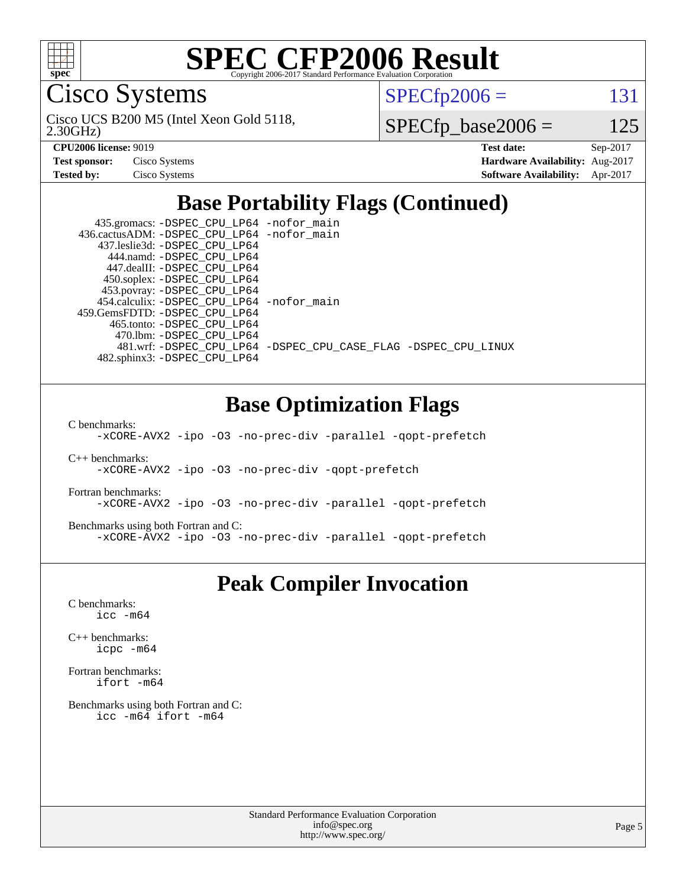

Cisco Systems

 $SPECTp2006 = 131$ 

2.30GHz) Cisco UCS B200 M5 (Intel Xeon Gold 5118,

 $SPECfp\_base2006 = 125$ 

| <b>Test sponsor:</b> | Cisco Systems |
|----------------------|---------------|
| <b>Tested by:</b>    | Cisco Systems |

**[CPU2006 license:](http://www.spec.org/auto/cpu2006/Docs/result-fields.html#CPU2006license)** 9019 **[Test date:](http://www.spec.org/auto/cpu2006/Docs/result-fields.html#Testdate)** Sep-2017 **[Hardware Availability:](http://www.spec.org/auto/cpu2006/Docs/result-fields.html#HardwareAvailability)** Aug-2017 **[Software Availability:](http://www.spec.org/auto/cpu2006/Docs/result-fields.html#SoftwareAvailability)** Apr-2017

### **[Base Portability Flags \(Continued\)](http://www.spec.org/auto/cpu2006/Docs/result-fields.html#BasePortabilityFlags)**

 435.gromacs: [-DSPEC\\_CPU\\_LP64](http://www.spec.org/cpu2006/results/res2017q4/cpu2006-20171003-50273.flags.html#suite_basePORTABILITY435_gromacs_DSPEC_CPU_LP64) [-nofor\\_main](http://www.spec.org/cpu2006/results/res2017q4/cpu2006-20171003-50273.flags.html#user_baseLDPORTABILITY435_gromacs_f-nofor_main) 436.cactusADM: [-DSPEC\\_CPU\\_LP64](http://www.spec.org/cpu2006/results/res2017q4/cpu2006-20171003-50273.flags.html#suite_basePORTABILITY436_cactusADM_DSPEC_CPU_LP64) [-nofor\\_main](http://www.spec.org/cpu2006/results/res2017q4/cpu2006-20171003-50273.flags.html#user_baseLDPORTABILITY436_cactusADM_f-nofor_main) 437.leslie3d: [-DSPEC\\_CPU\\_LP64](http://www.spec.org/cpu2006/results/res2017q4/cpu2006-20171003-50273.flags.html#suite_basePORTABILITY437_leslie3d_DSPEC_CPU_LP64) 444.namd: [-DSPEC\\_CPU\\_LP64](http://www.spec.org/cpu2006/results/res2017q4/cpu2006-20171003-50273.flags.html#suite_basePORTABILITY444_namd_DSPEC_CPU_LP64) 447.dealII: [-DSPEC\\_CPU\\_LP64](http://www.spec.org/cpu2006/results/res2017q4/cpu2006-20171003-50273.flags.html#suite_basePORTABILITY447_dealII_DSPEC_CPU_LP64) 450.soplex: [-DSPEC\\_CPU\\_LP64](http://www.spec.org/cpu2006/results/res2017q4/cpu2006-20171003-50273.flags.html#suite_basePORTABILITY450_soplex_DSPEC_CPU_LP64) 453.povray: [-DSPEC\\_CPU\\_LP64](http://www.spec.org/cpu2006/results/res2017q4/cpu2006-20171003-50273.flags.html#suite_basePORTABILITY453_povray_DSPEC_CPU_LP64) 454.calculix: [-DSPEC\\_CPU\\_LP64](http://www.spec.org/cpu2006/results/res2017q4/cpu2006-20171003-50273.flags.html#suite_basePORTABILITY454_calculix_DSPEC_CPU_LP64) [-nofor\\_main](http://www.spec.org/cpu2006/results/res2017q4/cpu2006-20171003-50273.flags.html#user_baseLDPORTABILITY454_calculix_f-nofor_main) 459.GemsFDTD: [-DSPEC\\_CPU\\_LP64](http://www.spec.org/cpu2006/results/res2017q4/cpu2006-20171003-50273.flags.html#suite_basePORTABILITY459_GemsFDTD_DSPEC_CPU_LP64) 465.tonto: [-DSPEC\\_CPU\\_LP64](http://www.spec.org/cpu2006/results/res2017q4/cpu2006-20171003-50273.flags.html#suite_basePORTABILITY465_tonto_DSPEC_CPU_LP64) 470.lbm: [-DSPEC\\_CPU\\_LP64](http://www.spec.org/cpu2006/results/res2017q4/cpu2006-20171003-50273.flags.html#suite_basePORTABILITY470_lbm_DSPEC_CPU_LP64) 481.wrf: [-DSPEC\\_CPU\\_LP64](http://www.spec.org/cpu2006/results/res2017q4/cpu2006-20171003-50273.flags.html#suite_basePORTABILITY481_wrf_DSPEC_CPU_LP64) [-DSPEC\\_CPU\\_CASE\\_FLAG](http://www.spec.org/cpu2006/results/res2017q4/cpu2006-20171003-50273.flags.html#b481.wrf_baseCPORTABILITY_DSPEC_CPU_CASE_FLAG) [-DSPEC\\_CPU\\_LINUX](http://www.spec.org/cpu2006/results/res2017q4/cpu2006-20171003-50273.flags.html#b481.wrf_baseCPORTABILITY_DSPEC_CPU_LINUX) 482.sphinx3: [-DSPEC\\_CPU\\_LP64](http://www.spec.org/cpu2006/results/res2017q4/cpu2006-20171003-50273.flags.html#suite_basePORTABILITY482_sphinx3_DSPEC_CPU_LP64)

### **[Base Optimization Flags](http://www.spec.org/auto/cpu2006/Docs/result-fields.html#BaseOptimizationFlags)**

[C benchmarks](http://www.spec.org/auto/cpu2006/Docs/result-fields.html#Cbenchmarks):

[-xCORE-AVX2](http://www.spec.org/cpu2006/results/res2017q4/cpu2006-20171003-50273.flags.html#user_CCbase_f-xCORE-AVX2) [-ipo](http://www.spec.org/cpu2006/results/res2017q4/cpu2006-20171003-50273.flags.html#user_CCbase_f-ipo) [-O3](http://www.spec.org/cpu2006/results/res2017q4/cpu2006-20171003-50273.flags.html#user_CCbase_f-O3) [-no-prec-div](http://www.spec.org/cpu2006/results/res2017q4/cpu2006-20171003-50273.flags.html#user_CCbase_f-no-prec-div) [-parallel](http://www.spec.org/cpu2006/results/res2017q4/cpu2006-20171003-50273.flags.html#user_CCbase_f-parallel) [-qopt-prefetch](http://www.spec.org/cpu2006/results/res2017q4/cpu2006-20171003-50273.flags.html#user_CCbase_f-qopt-prefetch)

[C++ benchmarks:](http://www.spec.org/auto/cpu2006/Docs/result-fields.html#CXXbenchmarks)

[-xCORE-AVX2](http://www.spec.org/cpu2006/results/res2017q4/cpu2006-20171003-50273.flags.html#user_CXXbase_f-xCORE-AVX2) [-ipo](http://www.spec.org/cpu2006/results/res2017q4/cpu2006-20171003-50273.flags.html#user_CXXbase_f-ipo) [-O3](http://www.spec.org/cpu2006/results/res2017q4/cpu2006-20171003-50273.flags.html#user_CXXbase_f-O3) [-no-prec-div](http://www.spec.org/cpu2006/results/res2017q4/cpu2006-20171003-50273.flags.html#user_CXXbase_f-no-prec-div) [-qopt-prefetch](http://www.spec.org/cpu2006/results/res2017q4/cpu2006-20171003-50273.flags.html#user_CXXbase_f-qopt-prefetch)

[Fortran benchmarks](http://www.spec.org/auto/cpu2006/Docs/result-fields.html#Fortranbenchmarks):

[-xCORE-AVX2](http://www.spec.org/cpu2006/results/res2017q4/cpu2006-20171003-50273.flags.html#user_FCbase_f-xCORE-AVX2) [-ipo](http://www.spec.org/cpu2006/results/res2017q4/cpu2006-20171003-50273.flags.html#user_FCbase_f-ipo) [-O3](http://www.spec.org/cpu2006/results/res2017q4/cpu2006-20171003-50273.flags.html#user_FCbase_f-O3) [-no-prec-div](http://www.spec.org/cpu2006/results/res2017q4/cpu2006-20171003-50273.flags.html#user_FCbase_f-no-prec-div) [-parallel](http://www.spec.org/cpu2006/results/res2017q4/cpu2006-20171003-50273.flags.html#user_FCbase_f-parallel) [-qopt-prefetch](http://www.spec.org/cpu2006/results/res2017q4/cpu2006-20171003-50273.flags.html#user_FCbase_f-qopt-prefetch)

[Benchmarks using both Fortran and C](http://www.spec.org/auto/cpu2006/Docs/result-fields.html#BenchmarksusingbothFortranandC):

[-xCORE-AVX2](http://www.spec.org/cpu2006/results/res2017q4/cpu2006-20171003-50273.flags.html#user_CC_FCbase_f-xCORE-AVX2) [-ipo](http://www.spec.org/cpu2006/results/res2017q4/cpu2006-20171003-50273.flags.html#user_CC_FCbase_f-ipo) [-O3](http://www.spec.org/cpu2006/results/res2017q4/cpu2006-20171003-50273.flags.html#user_CC_FCbase_f-O3) [-no-prec-div](http://www.spec.org/cpu2006/results/res2017q4/cpu2006-20171003-50273.flags.html#user_CC_FCbase_f-no-prec-div) [-parallel](http://www.spec.org/cpu2006/results/res2017q4/cpu2006-20171003-50273.flags.html#user_CC_FCbase_f-parallel) [-qopt-prefetch](http://www.spec.org/cpu2006/results/res2017q4/cpu2006-20171003-50273.flags.html#user_CC_FCbase_f-qopt-prefetch)

### **[Peak Compiler Invocation](http://www.spec.org/auto/cpu2006/Docs/result-fields.html#PeakCompilerInvocation)**

[C benchmarks](http://www.spec.org/auto/cpu2006/Docs/result-fields.html#Cbenchmarks): [icc -m64](http://www.spec.org/cpu2006/results/res2017q4/cpu2006-20171003-50273.flags.html#user_CCpeak_intel_icc_64bit_bda6cc9af1fdbb0edc3795bac97ada53)

[C++ benchmarks:](http://www.spec.org/auto/cpu2006/Docs/result-fields.html#CXXbenchmarks) [icpc -m64](http://www.spec.org/cpu2006/results/res2017q4/cpu2006-20171003-50273.flags.html#user_CXXpeak_intel_icpc_64bit_fc66a5337ce925472a5c54ad6a0de310)

[Fortran benchmarks](http://www.spec.org/auto/cpu2006/Docs/result-fields.html#Fortranbenchmarks): [ifort -m64](http://www.spec.org/cpu2006/results/res2017q4/cpu2006-20171003-50273.flags.html#user_FCpeak_intel_ifort_64bit_ee9d0fb25645d0210d97eb0527dcc06e)

[Benchmarks using both Fortran and C](http://www.spec.org/auto/cpu2006/Docs/result-fields.html#BenchmarksusingbothFortranandC): [icc -m64](http://www.spec.org/cpu2006/results/res2017q4/cpu2006-20171003-50273.flags.html#user_CC_FCpeak_intel_icc_64bit_bda6cc9af1fdbb0edc3795bac97ada53) [ifort -m64](http://www.spec.org/cpu2006/results/res2017q4/cpu2006-20171003-50273.flags.html#user_CC_FCpeak_intel_ifort_64bit_ee9d0fb25645d0210d97eb0527dcc06e)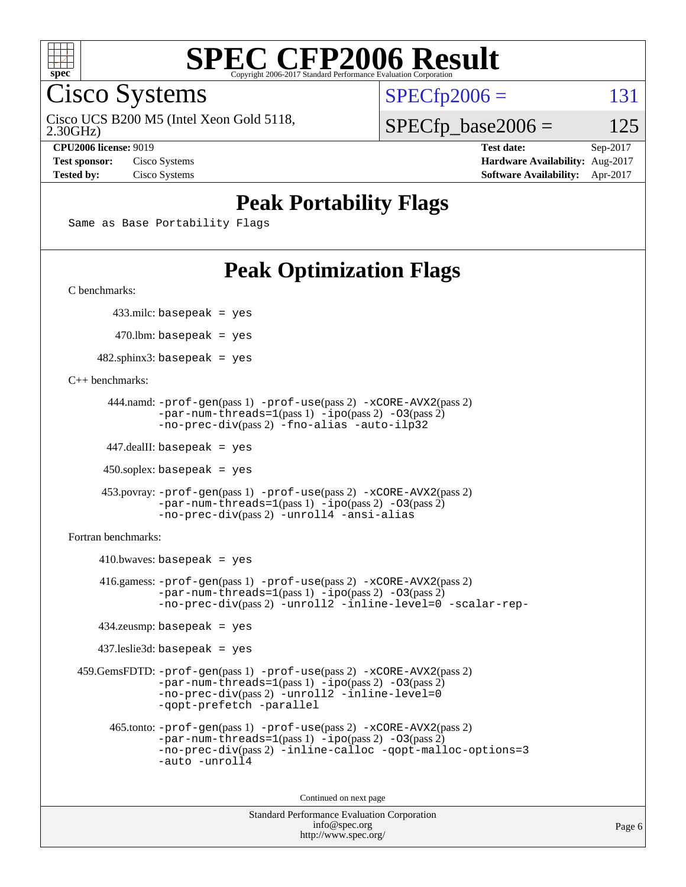

Cisco Systems

 $SPECTp2006 = 131$ 

2.30GHz) Cisco UCS B200 M5 (Intel Xeon Gold 5118,

 $SPECfp\_base2006 = 125$ 

**[CPU2006 license:](http://www.spec.org/auto/cpu2006/Docs/result-fields.html#CPU2006license)** 9019 **[Test date:](http://www.spec.org/auto/cpu2006/Docs/result-fields.html#Testdate)** Sep-2017 **[Test sponsor:](http://www.spec.org/auto/cpu2006/Docs/result-fields.html#Testsponsor)** Cisco Systems **[Hardware Availability:](http://www.spec.org/auto/cpu2006/Docs/result-fields.html#HardwareAvailability)** Aug-2017 **[Tested by:](http://www.spec.org/auto/cpu2006/Docs/result-fields.html#Testedby)** Cisco Systems **[Software Availability:](http://www.spec.org/auto/cpu2006/Docs/result-fields.html#SoftwareAvailability)** Apr-2017

### **[Peak Portability Flags](http://www.spec.org/auto/cpu2006/Docs/result-fields.html#PeakPortabilityFlags)**

Same as Base Portability Flags

### **[Peak Optimization Flags](http://www.spec.org/auto/cpu2006/Docs/result-fields.html#PeakOptimizationFlags)**

[C benchmarks](http://www.spec.org/auto/cpu2006/Docs/result-fields.html#Cbenchmarks):

433.milc: basepeak = yes

 $470.$ lbm: basepeak = yes

 $482$ .sphinx3: basepeak = yes

[C++ benchmarks:](http://www.spec.org/auto/cpu2006/Docs/result-fields.html#CXXbenchmarks)

```
 444.namd: -prof-gen(pass 1) -prof-use(pass 2) -xCORE-AVX2(pass 2)
      -par-num-threads=1-ipo-O3(pass 2)-no-prec-div(pass 2) -fno-alias -auto-ilp32
```
447.dealII: basepeak = yes

 $450$ .soplex: basepeak = yes

```
 453.povray: -prof-gen(pass 1) -prof-use(pass 2) -xCORE-AVX2(pass 2)
        -par-num-threads=1-ipo-O3(pass 2)-no-prec-div(pass 2) -unroll4 -ansi-alias
```
[Fortran benchmarks](http://www.spec.org/auto/cpu2006/Docs/result-fields.html#Fortranbenchmarks):

```
410.bwaves: basepeak = yes 416.gamess: -prof-gen(pass 1) -prof-use(pass 2) -xCORE-AVX2(pass 2)
           -par-num-threads=1-ipo-O3(pass 2)-no-prec-div(pass 2) -unroll2 -inline-level=0 -scalar-rep-
   434.zeusmp: basepeak = yes
   437.leslie3d: basepeak = yes
459.GemsFDTD: -prof-gen(pass 1) -prof-use(pass 2) -xCORE-AVX2(pass 2)
           -par-num-threads=1-ipo-O3(pass 2)-no-prec-div(pass 2) -unroll2 -inline-level=0
           -qopt-prefetch -parallel
     465.tonto: -prof-gen(pass 1) -prof-use(pass 2) -xCORE-AVX2(pass 2)
           -par-num-threads=1(pass 1) -ipo(pass 2) -O3(pass 2)
           -no-prec-div-inline-calloc-qopt-malloc-options=3
           -auto -unroll4
```
Continued on next page

```
Standard Performance Evaluation Corporation
            info@spec.org
          http://www.spec.org/
```